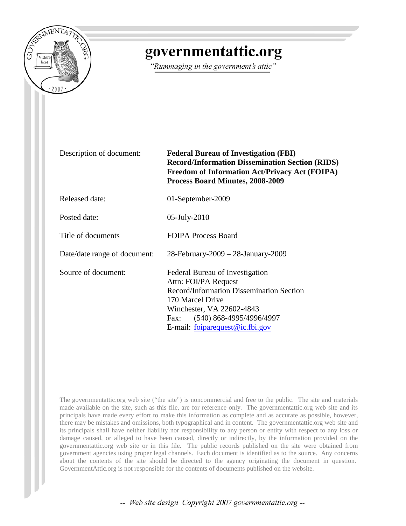

# governmentattic.org

"Rummaging in the government's attic"

Description of document: **Federal Bureau of Investigation (FBI) Record/Information Dissemination Section (RIDS) Freedom of Information Act/Privacy Act (FOIPA) Process Board Minutes, 2008-2009**

Released date: 01-September-2009

Posted date: 05-July-2010

Title of documents FOIPA Process Board

Date/date range of document: 28-February-2009 – 28-January-2009

Source of document: Federal Bureau of Investigation Attn: FOI/PA Request Record/Information Dissemination Section 170 Marcel Drive Winchester, VA 22602-4843 Fax: (540) 868-4995/4996/4997 E-mail: [foiparequest@ic.fbi.gov](mailto:foiparequest@ic.fbi.gov)

The governmentattic.org web site ("the site") is noncommercial and free to the public. The site and materials made available on the site, such as this file, are for reference only. The governmentattic.org web site and its principals have made every effort to make this information as complete and as accurate as possible, however, there may be mistakes and omissions, both typographical and in content. The governmentattic.org web site and its principals shall have neither liability nor responsibility to any person or entity with respect to any loss or damage caused, or alleged to have been caused, directly or indirectly, by the information provided on the governmentattic.org web site or in this file. The public records published on the site were obtained from government agencies using proper legal channels. Each document is identified as to the source. Any concerns about the contents of the site should be directed to the agency originating the document in question. GovernmentAttic.org is not responsible for the contents of documents published on the website.

-- Web site design Copyright 2007 governmentattic.org --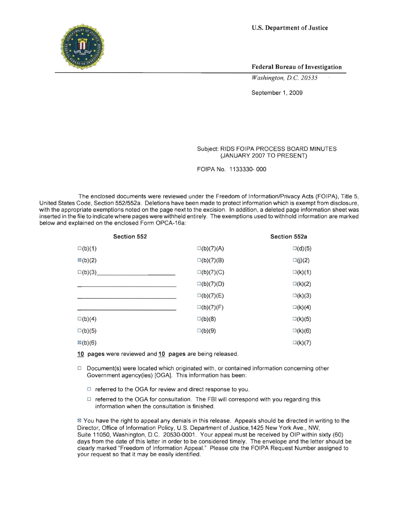U.S. **Department of Justice** 



**Federal Bureau of Investigation** 

*Washington, D.C 20535* 

September 1, 2009

#### Subject: RIDS FOIPA PROCESS BOARD MINUTES (JANUARY 2007 TO PRESENT)

FOIPA No. 1133330- 000

The enclosed documents were reviewed under the Freedom of Information/Privacy Acts (FOIPA), Title 5, United States Code, Section 552/552a. Deletions have been made to protect information which is exempt from disclosure, with the appropriate exemptions noted on the page next to the excision. In addition, a deleted page information sheet was inserted in the file to indicate where pages were withheld entirely. The exemptions used to withhold information are marked below and explained on the enclosed Form OPCA-16a:

| Section 552        |                    | Section 552a     |
|--------------------|--------------------|------------------|
| $\square$ (b)(1)   | $\square(b)(7)(A)$ | $\square$ (d)(5) |
| $\boxtimes$ (b)(2) | $\square(b)(7)(B)$ | $\square(j)(2)$  |
| $\square$ (b)(3)   | $\square(b)(7)(C)$ | $\square$ (k)(1) |
|                    | $\square(b)(7)(D)$ | $\square(k)(2)$  |
|                    | $\square(b)(7)(E)$ | $\square$ (k)(3) |
|                    | $\square(b)(7)(F)$ | $\square$ (k)(4) |
| $\square(b)(4)$    | $\square(b)(8)$    | $\square$ (k)(5) |
| $\square$ (b)(5)   | $\square(b)(9)$    | $\square$ (k)(6) |
| $\mathbb{Z}(b)(6)$ |                    | $\square$ (k)(7) |

**10 pages** were reviewed and **10 pages** are being released.

- $\Box$  Document(s) were located which originated with, or contained information concerning other Government agency(ies) [OGA]. This information has been:
	- $\Box$  referred to the OGA for review and direct response to you.
	- $\Box$  referred to the OGA for consultation. The FBI will correspond with you regarding this information when the consultation is finished.

181 You have the right to appeal any denials in this release. Appeals should be directed in writing to the Director, Office of Information Policy, U.S. Department of Justice, 1425 New York Ave ., NW, Suite 11050, Washington, D.C. 20530-0001. Your appeal must be received by OIP within sixty (60) days from the date of this letter in order to be considered timely. The envelope and the letter should be clearly marked "Freedom of Information Appeal" Please cite the FOIPA Request Number assigned to your request so that it may be easily identified.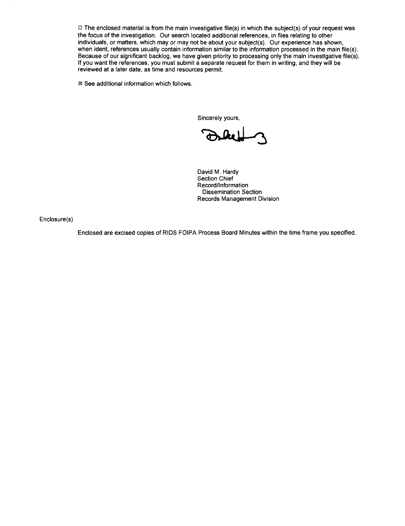$\Box$  The enclosed material is from the main investigative file(s) in which the subject(s) of your request was the focus of the investigation. Our search located additional references, in files relating to other individuals, or matters, which may or may not be about your subject(s). Our experience has shown, when ident, references usually contain information similar to the information processed in the main file(s). Because of our significant backlog, we have given priority to processing only the main investigative file(s). If you want the references, you must submit a separate request for them in writing, and they will be reviewed at a later date, as time and resources permit.

 $18$  See additional information which follows.

Sincerely yours,

David M. Hardy Section Chief Record/Information Dissemination Section Records Management Division

Enclosure(s)

Enclosed are excised copies of RIDS FOIPA Process Board Minutes within the time frame you specified.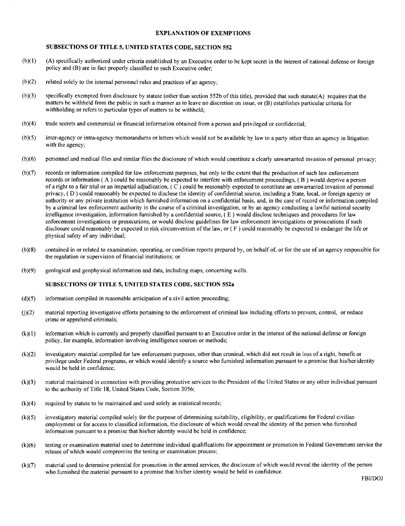#### EXPLANATION OF EXEMPTIONS

#### SUBSECTIONS OF TITLE 5, UNITED STATES CODE, SECTION 552

- $(b)(1)$  (A) specifically authorized under criteria established by an Executive order to be kept secret in the interest of national defense or foreign policy and (B) are in fact properly classified to such Executive order;
- $(b)(2)$  related solely to the internal personnel rules and practices of an agency;
- (b)(3) specifically exempted from disclosure by statute (other than section 552b of this title), provided that such statute(A) requires that the matters be withheld from the public in such a manner as to leave no discretion on issue, or (B) establishes particular criteria for withholding or refers to particular types of matters to be withheld;
- (b)(4) trade secrets and commercial or financial information obtained from a person and privileged or confidential;
- (b)(5) inter-agency or intra-agency memorandums or letters which would not be available by law to a party other than an agency in litigation with the agency;
- (b)( 6) personnel and medical files and similar files the disclosure of which would constitute a clearly unwarranted invasion of personal privacy;
- (b )(7) records or information compiled for law enforcement purposes, but only to the extent that the production of such law enforeement records or information ( A ) could be reasonably be expected to interfere with enforcement proceedings, ( B ) would deprive a person of a right to a fair trial or an impartial adjudication, ( C ) could be reasonably expected to constitute an unwarranted invasion of personal privacy, ( 0 ) could reasonably be expected to disclose the identity of confidential source, including a State, local, or foreign agency or authority or any private institution which furnished information on a confidential basis, and, in the ease ofreeord or information compiled by a criminal law enforcement authority in the course of a criminal investigation, or by an ageney conducting a lawful national security intelligence investigation, information furnished by a confidential source, ( E ) would disclose techniques and procedures for law enforcement investigations or prosecutions, or would disclose guidelines for law enforcement investigations or prosecutions if such disclosure could reasonably be expected to risk circumvention of the law, or ( F ) could reasonably be expected to endanger the life or physical safety of any individual;
- (b )(8) contained in or related to examination, operating, or condition reports prepared by, on behalf of, or for the use of an agency responsible for the regulation or supervision of financial institutions; or
- (b )(9) geological and geophysical information and data, including maps, concerning wells.

#### SUBSECTIONS OF TITLE 5, UNITED STATES CODE, SECTION 552a

- (d)(5) information compiled in reasonable anticipation of a civil action proceeding;
- 0)(2) material reporting investigative efforts pertaining to the enforcement of criminal law including efforts to prevent, control, or reduce crime or apprehend criminals;
- (k)( 1) information which is currently and properly classified pursuant to an Executive order in the interest of the national defense or foreign policy, for example, information involving intelligence sources or methods;
- (k)(2) investigatory material compiled for law enforcement purposes, other than criminal, which did not result in loss of a right, benefit or privilege under Federal programs, or which would identify a source who furnished information pursuant to a promise that hislheridentity would be held in confidence;
- (k)(3) material maintained in connection with providing protective services to the President of the United States or any other individual pursuant to the authority of Title 18, United States Code, Section 3056;
- $(k)(4)$  required by statute to be maintained and used solely as statistical records;
- (k)(5) investigatory material compiled solely for the purpose of determining suitability, eligibility. or qualifications for Federal civilian employment or for access to classified information, the disclosure of which would reveal the identity of the person who furnished information pursuant to a promise that his/her identity would be held in confidence;
- (k)(6) testing or examination material used to determine individual qualifications for appointment or promotion in Federal Government service the release of which would compromise the testing or examination process;
- (k)(7) material used to determine potential for promotion in the armed services, the disclosure of which would reveal the identity of the person who furnished the material pursuant to a promise that his/her identity would be held in confidence.

FBI/DOJ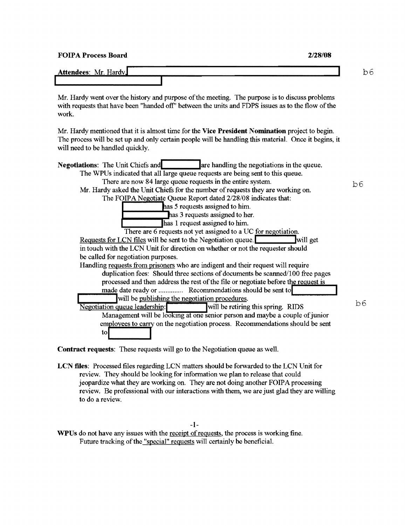| <b>FOIPA Process Board</b> | 2/28/08 |    |  |
|----------------------------|---------|----|--|
| Attendees: Mr. Hardy.      |         | Эć |  |

Mr. Hardy went over the history and purpose of the meeting. The purpose is to discuss problems with requests that have been "handed off" between the units and FDPS issues as to the flow of the work.

Mr. Hardy mentioned that it is almost time for the Vice President Nomination project to begin. The process will be set up and only certain people will be handling this material. Once it begins, it will need to be handled quickly.

| <b>Negotiations:</b> The Unit Chiefs and<br>are handling the negotiations in the queue. |     |
|-----------------------------------------------------------------------------------------|-----|
| The WPUs indicated that all large queue requests are being sent to this queue.          |     |
| There are now 84 large queue requests in the entire system.                             | b6. |
| Mr. Hardy asked the Unit Chiefs for the number of requests they are working on.         |     |
| The FOIPA Negotiate Queue Report dated 2/28/08 indicates that:                          |     |
| has 5 requests assigned to him.                                                         |     |
| has 3 requests assigned to her.                                                         |     |
| has 1 request assigned to him.                                                          |     |
| There are 6 requests not yet assigned to a UC for negotiation.                          |     |
| Requests for LCN files will be sent to the Negotiation queue.<br>will get               |     |
| in touch with the LCN Unit for direction on whether or not the requester should         |     |
| be called for negotiation purposes.                                                     |     |
| Handling requests from prisoners who are indigent and their request will require        |     |
| duplication fees: Should three sections of documents be scanned/100 free pages          |     |
| processed and then address the rest of the file or negotiate before the request is      |     |
|                                                                                         |     |
| will be publishing the negotiation procedures.                                          | bб  |
| Negotiation queue leadership:<br>will be retiring this spring. RIDS                     |     |
| Management will be looking at one senior person and maybe a couple of junior            |     |
| employees to carry on the negotiation process. Recommendations should be sent           |     |
| $\frac{1}{10}$                                                                          |     |

Contract requests: These requests will go to the Negotiation queue as well.

LCN files: Processed files regarding LCN matters should be forwarded to the LCN Unit for review. They should be looking for information we plan to release that could jeopardize what they are working on. They are not doing another FOIPA processing review. Be professional with our interactions with them, we are just glad they are willing to do a review.

-1-

WPUs do not have any issues with the receipt of requests, the process is working fine. Future tracking of the "special" requests will certainly be beneficial.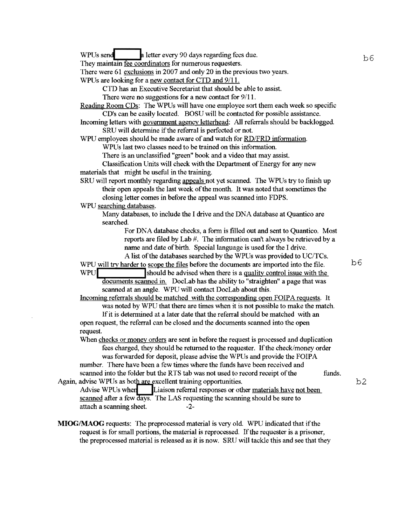WPUs send<br>a letter every 90 days regarding fees due. They maintain fee coordinators for numerous requesters. There were 61 exclusions in 2007 and only 20 in the previous two years. WPUs are looking for a new contact for CTD and 9/11. CTD has an Executive Secretariat that should be able to assist. There were no suggestions for a new contact for 9/11. Reading Room CDs: The WPUs will have one employee sort them each week so specific CD's can be easily located. BOSU will be contacted for possible assistance. Incoming letters with government agency letterhead: All referrals should be backlogged. SRU will determine if the referral is perfected or not. WPU employees should be made aware of and watch for RD/FRD information. WPUs last two classes need to be trained on this information. There is an unclassified "green" book and a video that may assist. Classification Units will check with the Department of Energy for any new materials that might be useful in the training. SRU will report monthly regarding appeals not yet scanned. The WPUs try to finish up their open appeals the last week of the month. It was noted that sometimes the closing letter comes in before the appeal was scanned into FDPS. WPU searching databases. Many databases, to include the I drive and the DNA database at Quantico are searched. For DNA database checks, a form is filled out and sent to Quantico. Most reports are filed by Lab #. The information can't always be retrieved by a name and date of birth. Special language is used for the I drive. A list of the databases searched by the WPUs was provided to UC/TCs. WPU will try harder to scope the files before the documents are imported into the file. WPU should be advised when there is a quality control issue with the documents scanned in. DocLab has the ability to "straighten" a page that was scanned at an angle. WPU will contact DocLab about this. Incoming referrals should be matched with the corresponding open FOIPA requests. It was noted by WPU that there are times when it is not possible to make the match. If it is determined at a later date that the referral should be matched with an open request, the referral can be closed and the documents scanned into the open request. When checks or money orders are sent in before the request is processed and duplication fees charged, they should be returned to the requester. If the check/money order was forwarded for deposit, please advise the WPUs and provide the FOIPA number. There have been a few times where the funds have been received and scanned into the folder but the RTS tab was not used to record receipt of the funds. Again, advise WPUs as both are excellent training opportunities.<br>Advise WPUs when Liaison referral responses or other Liaison referral responses or other materials have not been scanned after a few days. The LAS requesting the scanning should be sure to attach a scanning sheet. -2-**MIOGIMAOG** requests: The preprocessed material is very old. WPU indicated that if the request is for small portions, the material is reprocessed. If the requester is a prisoner, the preprocessed material is released as it is now. SRU will tackle this and see that they b6 b6 b2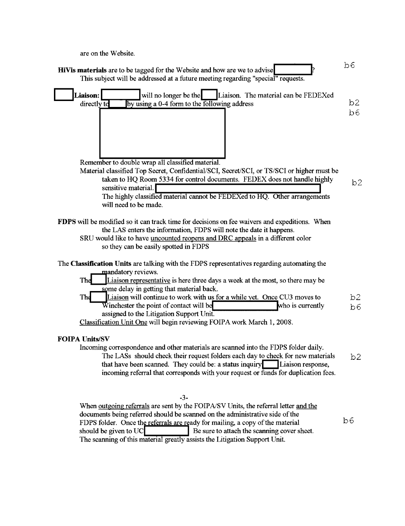| are on the Website.                                                                                                                                                                                                                                                                                                                                                                                                                                                                                                            |                      |
|--------------------------------------------------------------------------------------------------------------------------------------------------------------------------------------------------------------------------------------------------------------------------------------------------------------------------------------------------------------------------------------------------------------------------------------------------------------------------------------------------------------------------------|----------------------|
| HiVis materials are to be tagged for the Website and how are we to advise<br>This subject will be addressed at a future meeting regarding "special" requests.                                                                                                                                                                                                                                                                                                                                                                  | b6                   |
| Liaison:<br>will no longer be the Liaison. The material can be FEDEXed<br>by using a 0-4 form to the following address<br>directly to                                                                                                                                                                                                                                                                                                                                                                                          | b <sub>2</sub><br>b6 |
| Remember to double wrap all classified material.<br>Material classified Top Secret, Confidential/SCI, Secret/SCI, or TS/SCI or higher must be<br>taken to HQ Room 5334 for control documents. FEDEX does not handle highly<br>sensitive material.<br>The highly classified material cannot be FEDEXed to HQ. Other arrangements<br>will need to be made.                                                                                                                                                                       | b2                   |
| FDPS will be modified so it can track time for decisions on fee waivers and expeditions. When<br>the LAS enters the information, FDPS will note the date it happens.<br>SRU would like to have uncounted reopens and DRC appeals in a different color<br>so they can be easily spotted in FDPS                                                                                                                                                                                                                                 |                      |
| The Classification Units are talking with the FDPS representatives regarding automating the<br>mandatory reviews.<br>Liaison representative is here three days a week at the most, so there may be<br>The<br>some delay in getting that material back.<br>Liaison will continue to work with us for a while yet. Once CU3 moves to<br>The<br>Winchester the point of contact will be<br>who is currently<br>assigned to the Litigation Support Unit.<br>Classification Unit One will begin reviewing FOIPA work March 1, 2008. | b2<br>b6             |
| <b>FOIPA Units/SV</b><br>Incoming correspondence and other materials are scanned into the FDPS folder daily.<br>The LASs should check their request folders each day to check for new materials<br>that have been scanned. They could be: a status inquiry<br>Liaison response,<br>incoming referral that corresponds with your request or funds for duplication fees.                                                                                                                                                         | b2                   |
| $-3-$<br>When outgoing referrals are sent by the FOIPA/SV Units, the referral letter and the<br>documents being referred should be scanned on the administrative side of the<br>FDPS folder. Once the referrals are ready for mailing, a copy of the material<br>should be given to UC<br>Be sure to attach the scanning cover sheet.                                                                                                                                                                                          | b6                   |

The scanning of this material greatly assists the Litigation Support Unit.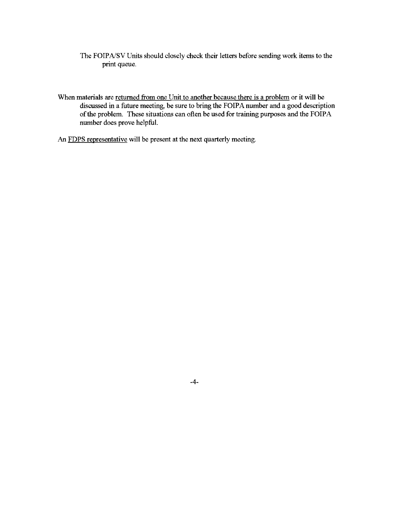- The FOIPA/SV Units should closely check their letters before sending work items to the print queue.
- When materials are returned from one Unit to another because there is a problem or it will be discussed in a future meeting, be sure to bring the FOIPA number and a good description of the problem. These situations can often be used for training purposes and the FOIPA number does prove helpful.
- An FDPS representative will be present at the next quarterly meeting.

-4-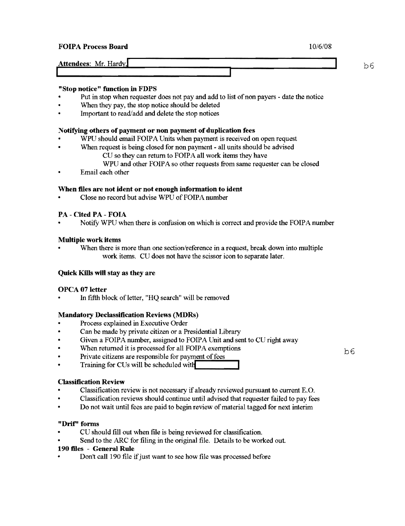# FOIPA Process Board 10/6/08

| Attendees: Mr. Hardy. | $- -$ |  |  |  |
|-----------------------|-------|--|--|--|
|                       |       |  |  |  |

#### "Stop notice" function in FDPS

- Put in stop when requester does not pay and add to list of non payers date the notice
- When they pay, the stop notice should be deleted
- Important to read/add and delete the stop notices

#### Notifying others of payment or non payment of duplication fees

- WPU should email FOIPA Units when payment is received on open request
- When request is being closed for non payment all units should be advised
	- CU so they can return to FOIPA all work items they have
	- WPU and other FOIPA so other requests from same requester can be closed
- Email each other

## When files are not ident or not enough information to ident

Close no record but advise WPU of FOIPA number

## PA - Cited PA - FOIA

Notify WPU when there is confusion on which is correct and provide the FOIPA number

## Multiple work items

When there is more than one section/reference in a request, break down into multiple work items. CU does not have the scissor icon to separate later.

#### Quick Kills will stay as they are

#### OPCA 07 letter

In fifth block of letter, "HQ search" will be removed

# Mandatory Declassification Reviews (MDRs)

- Process explained in Executive Order
- Can be made by private citizen or a Presidential Library
- Given a FOIPA number, assigned to FOIPA Unit and sent to CU right away
- When returned it is processed for all FOIPA exemptions
- 
- Private citizens are responsible for payment of fees<br>• Training for CUs will be scheduled with

#### Classification Review

- Classification review is not necessary if already reviewed pursuant to current E.O.
- Classification reviews should continue until advised that requester failed to pay fees
- Do not wait until fees are paid to begin review of material tagged for next interim

#### "Drlf" forms

- CU should fill out when file is being reviewed for classification.
- Send to the ARC for filing in the original file. Details to be worked out.

#### 190 files - General Rule

Don't call 190 file if just want to see how file was processed before

b6

 $b6$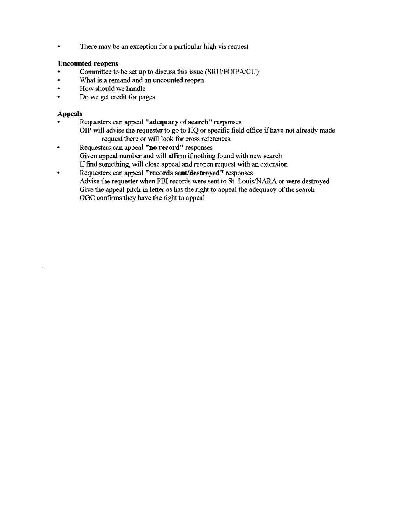• There may be an exception for a particular high vis request

# Uncounted reopens

- Committee to be set up to discuss this issue (SRU/FOIPA/CU)
- What is a remand and an uncounted reopen
- How should we handle
- Do we get credit for pages

#### Appeals

- Requesters can appeal "adequacy of search" responses
	- OIP will advise the requester to go to HQ or specific field office ifhave not already made request there or will look for cross references
- Requesters can appeal "no record" responses Given appeal number and will affirm if nothing found with new search Iffind something, will close appeal and reopen request with an extension
- Requesters can appeal "records sent/destroyed" responses Advise the requester when FBI records were sent to St. Louis/NARA or were destroyed Give the appeal pitch in letter as has the right to appeal the adequacy of the search OGe confirms they have the right to appeal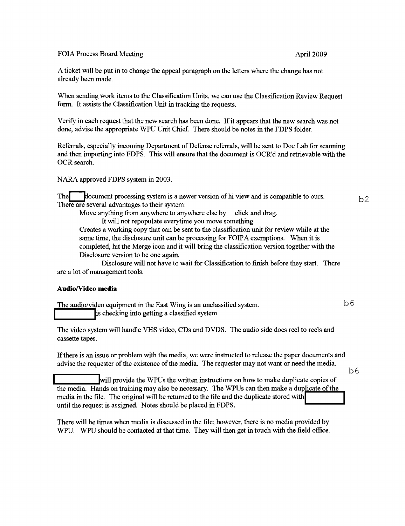FOIA Process Board Meeting and April 2009

A ticket will be put in to change the appeal paragraph on the letters where the change has not already been made.

When sending work items to the Classification Units, we can use the Classification Review Request form. It assists the Classification Unit in tracking the requests.

VerifY in each request that the new search has been done. If it appears that the new search was not done, advise the appropriate WPU Unit Chief. There should be notes in the FDPS folder.

Referrals, especially incoming Department of Defense referrals, will be sent to Doc Lab for scanning and then importing into FDPS. This will ensure that the document is OCR'd and retrievable with the OCR search.

NARA approved FDPS system in 2003.

The document processing system is a newer version of hi view and is compatible to ours.  $b2$ There are several advantages to their system:

Move anything from anywhere to anywhere else by click and drag.

It will not repopulate everytime you move something

Creates a working copy that can be sent to the classification unit for review while at the same time, the disclosure unit can be processing for FOIPA exemptions. When it is completed, hit the Merge icon and it will bring the classification version together with the Disclosure version to be one again.

Disclosure will not have to wait for Classification to finish before they start. There are a lot of management tools.

#### Audio/Video media

The audio/video equipment in the East Wing is an unclassified system.  $b6$ is checking into getting a classified system

The video system will handle VHS video, CDs and DVDS. The audio side does reel to reels and cassette tapes.

Ifthere is an issue or problem with the media, we were instructed to release the paper documents and advise the requester of the existence of the media. The requester may not want or need the media.

 $b6$ 

**\_\_\_\_\_\_ ........... lwill** provide the WPUs the written instructions on how to make duplicate copies of the media. Hands on training may also be necessary. The WPUs can then make a duplicate of the media in the file. The original will be returned to the file and the duplicate stored with<br>until the request is assigned. Notes should be placed in FDPS.

There will be times when media is discussed in the file; however, there is no media provided by WPU. WPU should be contacted at that time. They will then get in touch with the field office.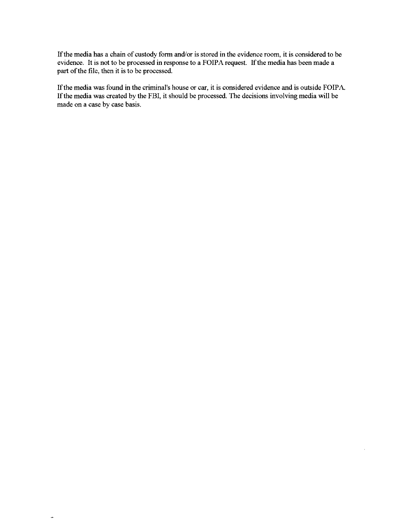If the media has a chain of custody fonn and/or is stored in the evidence room, it is considered to be evidence. It is not to be processed in response to a FOIPA request. If the media has been made a part of the file, then it is to be processed.

If the media was found in the criminal's house or car, it is considered evidence and is outside FOIP A. If the media was created by the FBI, it should be processed. The decisions involving media will be made on a case by case basis.

 $\rightarrow$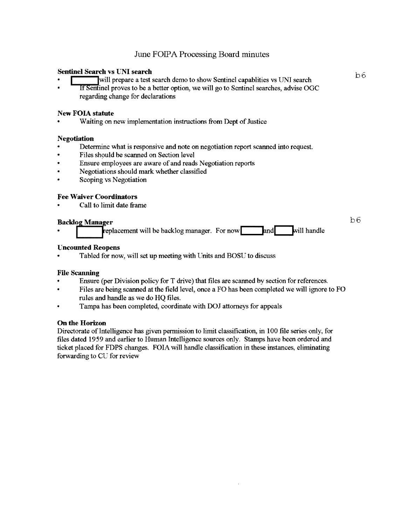# Sentinel Search vs UNI search

- will prepare a test search demo to show Sentinel capablities vs UNI search
- If Sentinel proves to be a better option, we will go to Sentinel searches, advise OGC regarding change for declarations

# New FOIA statute

• Waiting on new implementation instructions from Dept of Justice

## Negotiation

- Detennine what is responsive and note on negotiation report scanned into request.
- Files should be scanned on Section level
- Ensure employees are aware of and reads Negotiation reports
- Negotiations should mark whether classified
- Scoping vs Negotiation

## Fee Waiver Coordinators

Call to limit date frame

## **Backlog Manager**

replacement will be backlog manager. For now  $\Box$  and  $\Box$  will handle

# b6

## Uncounted Reopens

• Tabled for now, will set up meeting with Units and BOSU to discuss

# File Scanning

- Ensure (per Division policy for T drive) that files are scanned by section for references.
- Files are being scanned at the field level, once a FO has been completed we will ignore to FO rules and handle as we do HQ files.
- Tampa has been completed, coordinate with DOJ attorneys for appeals

# On the Horizon

Directorate of Intelligence has given pennission to limit classification, in 100 file series only, for files dated 1959 and earlier to Human Intelligence sources only. Stamps have been ordered and ticket placed for FDPS changes. FOIA will handle classification in these instances, eliminating forwarding to CU for review

b6